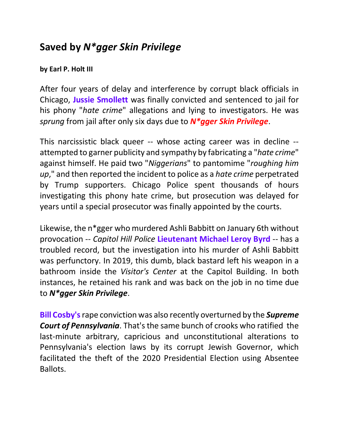## **Saved by** *N\*gger Skin Privilege*

## **by Earl P. Holt III**

After four years of delay and interference by corrupt black officials in Chicago, **Jussie Smollett** was finally convicted and sentenced to jail for his phony "*hate crime*" allegations and lying to investigators. He was *sprung* from jail after only six days due to *N\*gger Skin Privilege*.

This narcissistic black queer -- whose acting career was in decline - attempted to garner publicity and sympathy by fabricating a "*hate crime*" against himself. He paid two "*Niggerians*" to pantomime "*roughing him up*," and then reported the incident to police as a *hate crime* perpetrated by Trump supporters. Chicago Police spent thousands of hours investigating this phony hate crime, but prosecution was delayed for years until a special prosecutor was finally appointed by the courts.

Likewise, the n\*gger who murdered Ashli Babbitt on January 6th without provocation -- *Capitol Hill Police* **Lieutenant Michael Leroy Byrd** -- has a troubled record, but the investigation into his murder of Ashli Babbitt was perfunctory. In 2019, this dumb, black bastard left his weapon in a bathroom inside the *Visitor's Center* at the Capitol Building. In both instances, he retained his rank and was back on the job in no time due to *N\*gger Skin Privilege*.

**Bill Cosby's**rape conviction was also recently overturned by the *Supreme Court of Pennsylvania*. That's the same bunch of crooks who ratified the last-minute arbitrary, capricious and unconstitutional alterations to Pennsylvania's election laws by its corrupt Jewish Governor, which facilitated the theft of the 2020 Presidential Election using Absentee Ballots.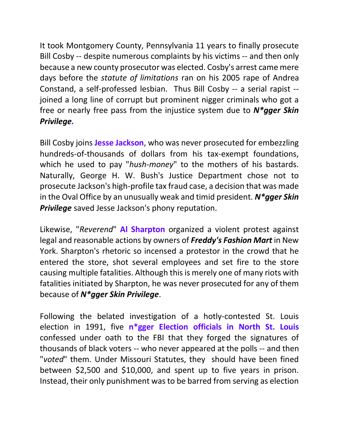It took Montgomery County, Pennsylvania 11 years to finally prosecute Bill Cosby -- despite numerous complaints by his victims -- and then only because a new county prosecutor was elected. Cosby's arrest came mere days before the *statute of limitations* ran on his 2005 rape of Andrea Constand, a self-professed lesbian. Thus Bill Cosby -- a serial rapist - joined a long line of corrupt but prominent nigger criminals who got a free or nearly free pass from the injustice system due to *N\*gger Skin Privilege.* 

Bill Cosby joins **Jesse Jackson**, who was never prosecuted for embezzling hundreds-of-thousands of dollars from his tax-exempt foundations, which he used to pay "*hush-money*" to the mothers of his bastards. Naturally, George H. W. Bush's Justice Department chose not to prosecute Jackson's high-profile tax fraud case, a decision that was made in the Oval Office by an unusually weak and timid president. *N\*gger Skin Privilege* saved Jesse Jackson's phony reputation.

Likewise, "*Reverend*" **Al Sharpton** organized a violent protest against legal and reasonable actions by owners of *Freddy's Fashion Mart* in New York. Sharpton's rhetoric so incensed a protestor in the crowd that he entered the store, shot several employees and set fire to the store causing multiple fatalities. Although this is merely one of many riots with fatalities initiated by Sharpton, he was never prosecuted for any of them because of *N\*gger Skin Privilege*.

Following the belated investigation of a hotly-contested St. Louis election in 1991, five **n\*gger Election officials in North St. Louis** confessed under oath to the FBI that they forged the signatures of thousands of black voters -- who never appeared at the polls -- and then "*voted*" them. Under Missouri Statutes, they should have been fined between \$2,500 and \$10,000, and spent up to five years in prison. Instead, their only punishment was to be barred from serving as election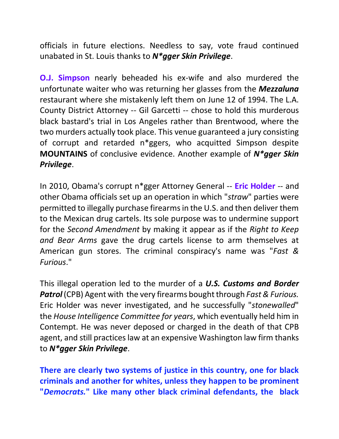officials in future elections. Needless to say, vote fraud continued unabated in St. Louis thanks to *N\*gger Skin Privilege*.

**O.J. Simpson** nearly beheaded his ex-wife and also murdered the unfortunate waiter who was returning her glasses from the *Mezzaluna* restaurant where she mistakenly left them on June 12 of 1994. The L.A. County District Attorney -- Gil Garcetti -- chose to hold this murderous black bastard's trial in Los Angeles rather than Brentwood, where the two murders actually took place. This venue guaranteed a jury consisting of corrupt and retarded n\*ggers, who acquitted Simpson despite **MOUNTAINS** of conclusive evidence. Another example of *N\*gger Skin Privilege*.

In 2010, Obama's corrupt n\*gger Attorney General -- **Eric Holder** -- and other Obama officials set up an operation in which "*straw*" parties were permitted to illegally purchase firearms in the U.S. and then deliver them to the Mexican drug cartels. Its sole purpose was to undermine support for the *Second Amendment* by making it appear as if the *Right to Keep and Bear Arms* gave the drug cartels license to arm themselves at American gun stores. The criminal conspiracy's name was "*Fast & Furious*."

This illegal operation led to the murder of a *U.S. Customs and Border Patrol* (CPB) Agent with the very firearms bought through *Fast & Furious.* Eric Holder was never investigated, and he successfully "*stonewalled*" the *House Intelligence Committee for years*, which eventually held him in Contempt. He was never deposed or charged in the death of that CPB agent, and still practices law at an expensive Washington law firm thanks to *N\*gger Skin Privilege*.

**There are clearly two systems of justice in this country, one for black criminals and another for whites, unless they happen to be prominent "***Democrats.***" Like many other black criminal defendants, the black**